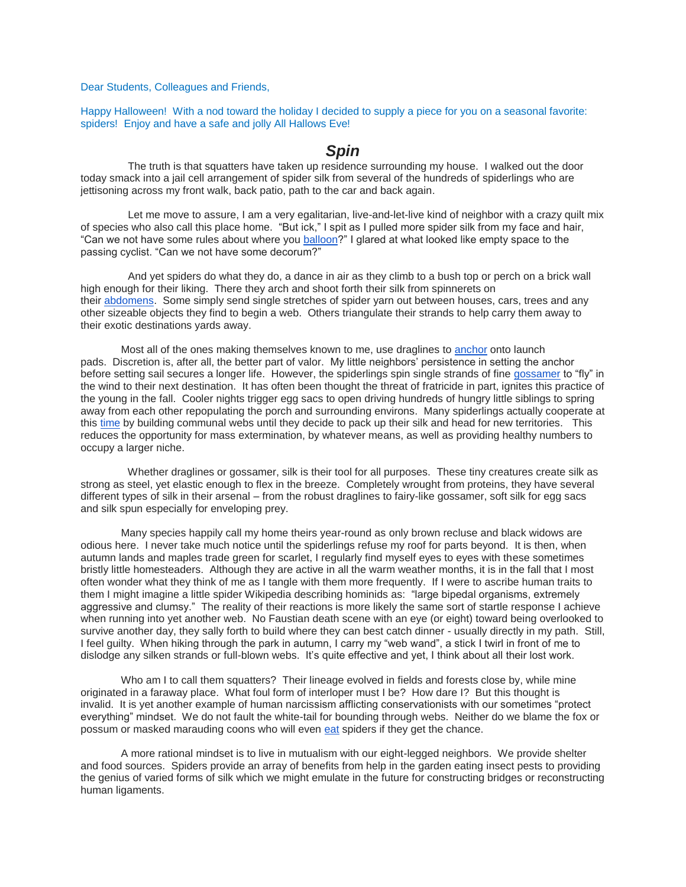Dear Students, Colleagues and Friends,

Happy Halloween! With a nod toward the holiday I decided to supply a piece for you on a seasonal favorite: spiders! Enjoy and have a safe and jolly All Hallows Eve!

## *Spin*

 The truth is that squatters have taken up residence surrounding my house. I walked out the door today smack into a jail cell arrangement of spider silk from several of the hundreds of spiderlings who are jettisoning across my front walk, back patio, path to the car and back again.

 Let me move to assure, I am a very egalitarian, live-and-let-live kind of neighbor with a crazy quilt mix of species who also call this place home. "But ick," I spit as I pulled more spider silk from my face and hair, "Can we not have some rules about where you [balloon?](http://web.archive.org/web/20110719210153/http:/fms.holycross.edu/JoA_free/JoA_v3_n3/JoA_v3_p185.pdf)" I glared at what looked like empty space to the passing cyclist. "Can we not have some decorum?"

 And yet spiders do what they do, a dance in air as they climb to a bush top or perch on a brick wall high enough for their liking. There they arch and shoot forth their silk from spinnerets on their [abdomens.](http://www.americanarachnology.org/JoA_free/JoA_v15_n2/JoA_v15_p163.pdf) Some simply send single stretches of spider yarn out between houses, cars, trees and any other sizeable objects they find to begin a web. Others triangulate their strands to help carry them away to their exotic destinations yards away.

Most all of the ones making themselves known to me, use draglines to [anchor](http://www.ncbi.nlm.nih.gov/pmc/articles/PMC54695/pdf/pnas01043-0201.pdf) onto launch pads. Discretion is, after all, the better part of valor. My little neighbors' persistence in setting the anchor before setting sail secures a longer life. However, the spiderlings spin single strands of fine [gossamer](http://www.agriculture.purdue.edu/agcomm/newscolumns/archives/OSL/2001/November/011109OSL.html#.VE_1-U10y1s) to "fly" in the wind to their next destination. It has often been thought the threat of fratricide in part, ignites this practice of the young in the fall. Cooler nights trigger egg sacs to open driving hundreds of hungry little siblings to spring away from each other repopulating the porch and surrounding environs. Many spiderlings actually cooperate at this [time](http://web.archive.org/web/20110719210153/http:/fms.holycross.edu/JoA_free/JoA_v3_n3/JoA_v3_p185.pdf) by building communal webs until they decide to pack up their silk and head for new territories. This reduces the opportunity for mass extermination, by whatever means, as well as providing healthy numbers to occupy a larger niche.

Whether draglines or gossamer, silk is their tool for all purposes. These tiny creatures create silk as strong as steel, yet elastic enough to flex in the breeze. Completely wrought from proteins, they have several different types of silk in their arsenal – from the robust draglines to fairy-like gossamer, soft silk for egg sacs and silk spun especially for enveloping prey.

Many species happily call my home theirs year-round as only brown recluse and black widows are odious here. I never take much notice until the spiderlings refuse my roof for parts beyond. It is then, when autumn lands and maples trade green for scarlet, I regularly find myself eyes to eyes with these sometimes bristly little homesteaders. Although they are active in all the warm weather months, it is in the fall that I most often wonder what they think of me as I tangle with them more frequently. If I were to ascribe human traits to them I might imagine a little spider Wikipedia describing hominids as: "large bipedal organisms, extremely aggressive and clumsy." The reality of their reactions is more likely the same sort of startle response I achieve when running into yet another web. No Faustian death scene with an eye (or eight) toward being overlooked to survive another day, they sally forth to build where they can best catch dinner - usually directly in my path. Still, I feel guilty. When hiking through the park in autumn, I carry my "web wand", a stick I twirl in front of me to dislodge any silken strands or full-blown webs. It's quite effective and yet, I think about all their lost work.

Who am I to call them squatters? Their lineage evolved in fields and forests close by, while mine originated in a faraway place. What foul form of interloper must I be? How dare I? But this thought is invalid. It is yet another example of human narcissism afflicting conservationists with our sometimes "protect everything" mindset. We do not fault the white-tail for bounding through webs. Neither do we blame the fox or possum or masked marauding coons who will even [eat](http://books.google.com/books?id=uEWl0ZM6DfUC&pg=PA297&lpg=PA297&dq=raccoons+eat+spiders+Schwartz&source=bl&ots=R-HOak4DAR&sig=sNXm87zZSKpgn7_eiAngtd74k24&hl=en&sa=X&ei=8wBQVPHvJZSryATTkYGYBw&ved=0CCsQ6AEwAg#v=onepage&q=raccoons%20eat%20spiders%20Schwartz&f=false) spiders if they get the chance.

A more rational mindset is to live in mutualism with our eight-legged neighbors. We provide shelter and food sources. Spiders provide an array of benefits from help in the garden eating insect pests to providing the genius of varied forms of silk which we might emulate in the future for constructing bridges or reconstructing human ligaments.